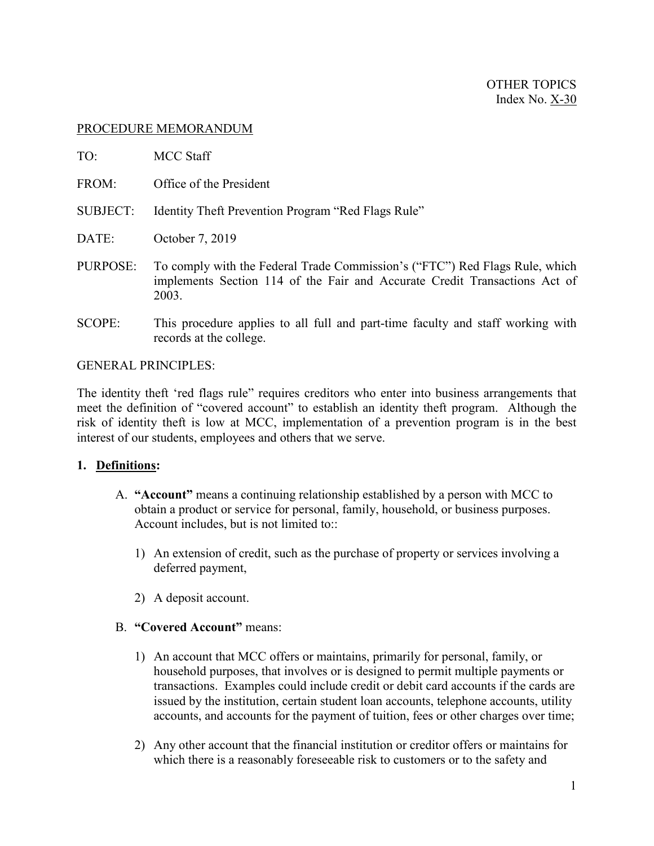### PROCEDURE MEMORANDUM

| TO:      | <b>MCC Staff</b>                                                                                                                                                   |
|----------|--------------------------------------------------------------------------------------------------------------------------------------------------------------------|
| FROM:    | Office of the President                                                                                                                                            |
| SUBJECT: | Identity Theft Prevention Program "Red Flags Rule"                                                                                                                 |
| DATE:    | October 7, 2019                                                                                                                                                    |
| PURPOSE: | To comply with the Federal Trade Commission's ("FTC") Red Flags Rule, which<br>implements Section 114 of the Fair and Accurate Credit Transactions Act of<br>2003. |

SCOPE: This procedure applies to all full and part-time faculty and staff working with records at the college.

#### GENERAL PRINCIPLES:

The identity theft 'red flags rule" requires creditors who enter into business arrangements that meet the definition of "covered account" to establish an identity theft program. Although the risk of identity theft is low at MCC, implementation of a prevention program is in the best interest of our students, employees and others that we serve.

### **1. Definitions:**

- A. **"Account"** means a continuing relationship established by a person with MCC to obtain a product or service for personal, family, household, or business purposes. Account includes, but is not limited to::
	- 1) An extension of credit, such as the purchase of property or services involving a deferred payment,
	- 2) A deposit account.

### B. **"Covered Account"** means:

- 1) An account that MCC offers or maintains, primarily for personal, family, or household purposes, that involves or is designed to permit multiple payments or transactions. Examples could include credit or debit card accounts if the cards are issued by the institution, certain student loan accounts, telephone accounts, utility accounts, and accounts for the payment of tuition, fees or other charges over time;
- 2) Any other account that the financial institution or creditor offers or maintains for which there is a reasonably foreseeable risk to customers or to the safety and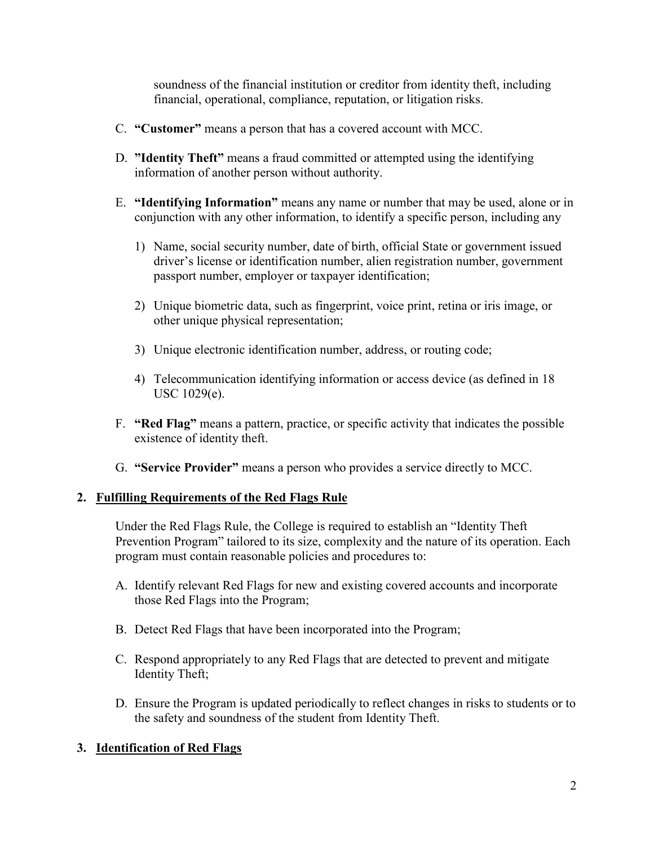soundness of the financial institution or creditor from identity theft, including financial, operational, compliance, reputation, or litigation risks.

- C. **"Customer"** means a person that has a covered account with MCC.
- D. **"Identity Theft"** means a fraud committed or attempted using the identifying information of another person without authority.
- E. **"Identifying Information"** means any name or number that may be used, alone or in conjunction with any other information, to identify a specific person, including any
	- 1) Name, social security number, date of birth, official State or government issued driver's license or identification number, alien registration number, government passport number, employer or taxpayer identification;
	- 2) Unique biometric data, such as fingerprint, voice print, retina or iris image, or other unique physical representation;
	- 3) Unique electronic identification number, address, or routing code;
	- 4) Telecommunication identifying information or access device (as defined in 18 USC 1029(e).
- F. **"Red Flag"** means a pattern, practice, or specific activity that indicates the possible existence of identity theft.
- G. **"Service Provider"** means a person who provides a service directly to MCC.

### **2. Fulfilling Requirements of the Red Flags Rule**

Under the Red Flags Rule, the College is required to establish an "Identity Theft Prevention Program" tailored to its size, complexity and the nature of its operation. Each program must contain reasonable policies and procedures to:

- A. Identify relevant Red Flags for new and existing covered accounts and incorporate those Red Flags into the Program;
- B. Detect Red Flags that have been incorporated into the Program;
- C. Respond appropriately to any Red Flags that are detected to prevent and mitigate Identity Theft;
- D. Ensure the Program is updated periodically to reflect changes in risks to students or to the safety and soundness of the student from Identity Theft.

### **3. Identification of Red Flags**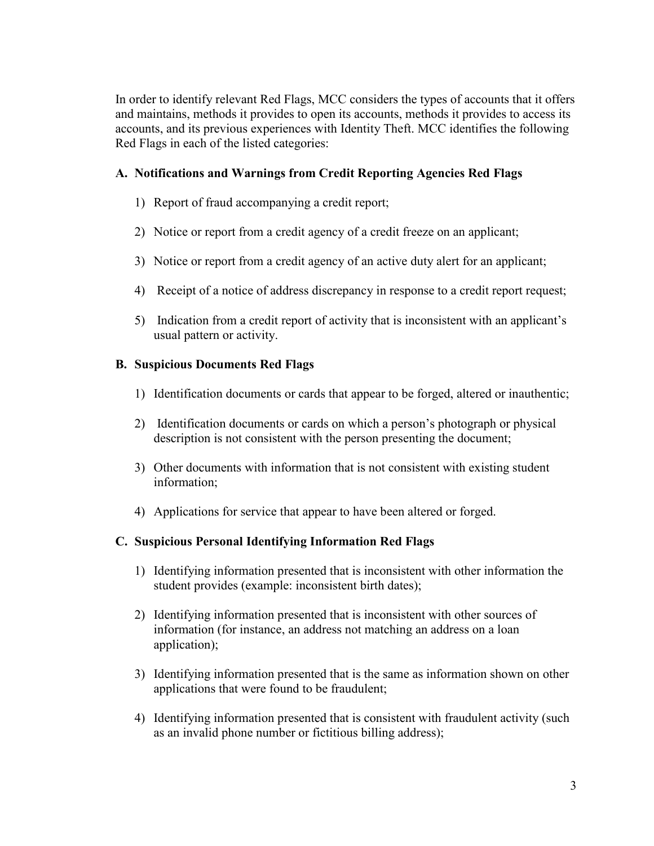In order to identify relevant Red Flags, MCC considers the types of accounts that it offers and maintains, methods it provides to open its accounts, methods it provides to access its accounts, and its previous experiences with Identity Theft. MCC identifies the following Red Flags in each of the listed categories:

## **A. Notifications and Warnings from Credit Reporting Agencies Red Flags**

- 1) Report of fraud accompanying a credit report;
- 2) Notice or report from a credit agency of a credit freeze on an applicant;
- 3) Notice or report from a credit agency of an active duty alert for an applicant;
- 4) Receipt of a notice of address discrepancy in response to a credit report request;
- 5) Indication from a credit report of activity that is inconsistent with an applicant's usual pattern or activity.

# **B. Suspicious Documents Red Flags**

- 1) Identification documents or cards that appear to be forged, altered or inauthentic;
- 2) Identification documents or cards on which a person's photograph or physical description is not consistent with the person presenting the document;
- 3) Other documents with information that is not consistent with existing student information;
- 4) Applications for service that appear to have been altered or forged.

# **C. Suspicious Personal Identifying Information Red Flags**

- 1) Identifying information presented that is inconsistent with other information the student provides (example: inconsistent birth dates);
- 2) Identifying information presented that is inconsistent with other sources of information (for instance, an address not matching an address on a loan application);
- 3) Identifying information presented that is the same as information shown on other applications that were found to be fraudulent;
- 4) Identifying information presented that is consistent with fraudulent activity (such as an invalid phone number or fictitious billing address);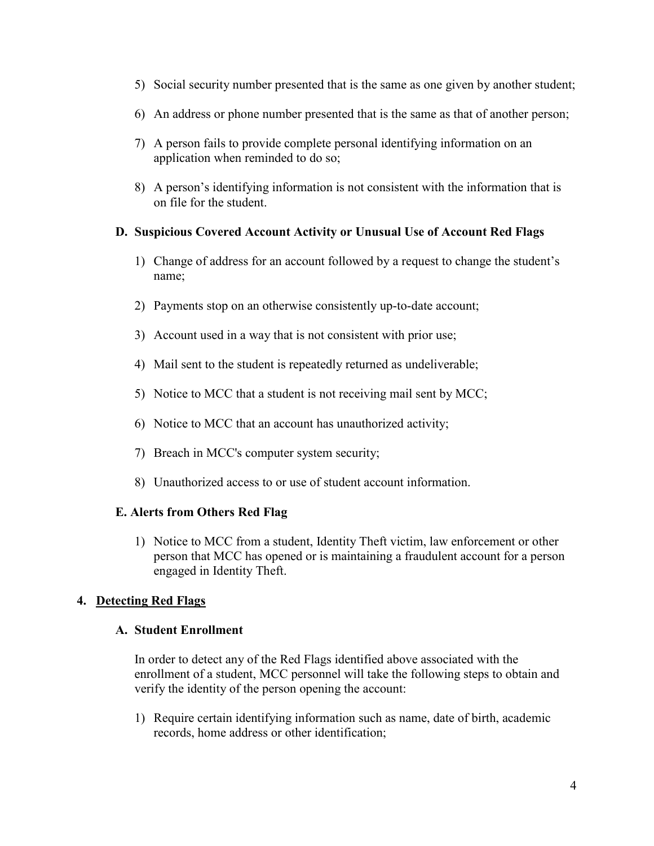- 5) Social security number presented that is the same as one given by another student;
- 6) An address or phone number presented that is the same as that of another person;
- 7) A person fails to provide complete personal identifying information on an application when reminded to do so;
- 8) A person's identifying information is not consistent with the information that is on file for the student.

### **D. Suspicious Covered Account Activity or Unusual Use of Account Red Flags**

- 1) Change of address for an account followed by a request to change the student's name;
- 2) Payments stop on an otherwise consistently up-to-date account;
- 3) Account used in a way that is not consistent with prior use;
- 4) Mail sent to the student is repeatedly returned as undeliverable;
- 5) Notice to MCC that a student is not receiving mail sent by MCC;
- 6) Notice to MCC that an account has unauthorized activity;
- 7) Breach in MCC's computer system security;
- 8) Unauthorized access to or use of student account information.

### **E. Alerts from Others Red Flag**

1) Notice to MCC from a student, Identity Theft victim, law enforcement or other person that MCC has opened or is maintaining a fraudulent account for a person engaged in Identity Theft.

### **4. Detecting Red Flags**

### **A. Student Enrollment**

In order to detect any of the Red Flags identified above associated with the enrollment of a student, MCC personnel will take the following steps to obtain and verify the identity of the person opening the account:

1) Require certain identifying information such as name, date of birth, academic records, home address or other identification;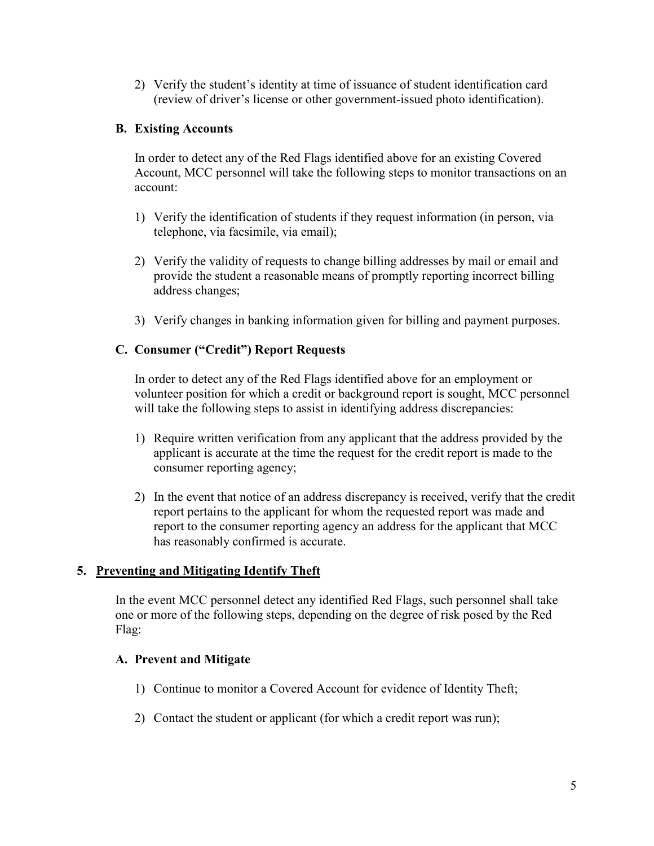2) Verify the student's identity at time of issuance of student identification card (review of driver's license or other government-issued photo identification).

### **B. Existing Accounts**

In order to detect any of the Red Flags identified above for an existing Covered Account, MCC personnel will take the following steps to monitor transactions on an account:

- 1) Verify the identification of students if they request information (in person, via telephone, via facsimile, via email);
- 2) Verify the validity of requests to change billing addresses by mail or email and provide the student a reasonable means of promptly reporting incorrect billing address changes;
- 3) Verify changes in banking information given for billing and payment purposes.

### **C. Consumer ("Credit") Report Requests**

In order to detect any of the Red Flags identified above for an employment or volunteer position for which a credit or background report is sought, MCC personnel will take the following steps to assist in identifying address discrepancies:

- 1) Require written verification from any applicant that the address provided by the applicant is accurate at the time the request for the credit report is made to the consumer reporting agency;
- 2) In the event that notice of an address discrepancy is received, verify that the credit report pertains to the applicant for whom the requested report was made and report to the consumer reporting agency an address for the applicant that MCC has reasonably confirmed is accurate.

### **5. Preventing and Mitigating Identify Theft**

In the event MCC personnel detect any identified Red Flags, such personnel shall take one or more of the following steps, depending on the degree of risk posed by the Red Flag:

### **A. Prevent and Mitigate**

- 1) Continue to monitor a Covered Account for evidence of Identity Theft;
- 2) Contact the student or applicant (for which a credit report was run);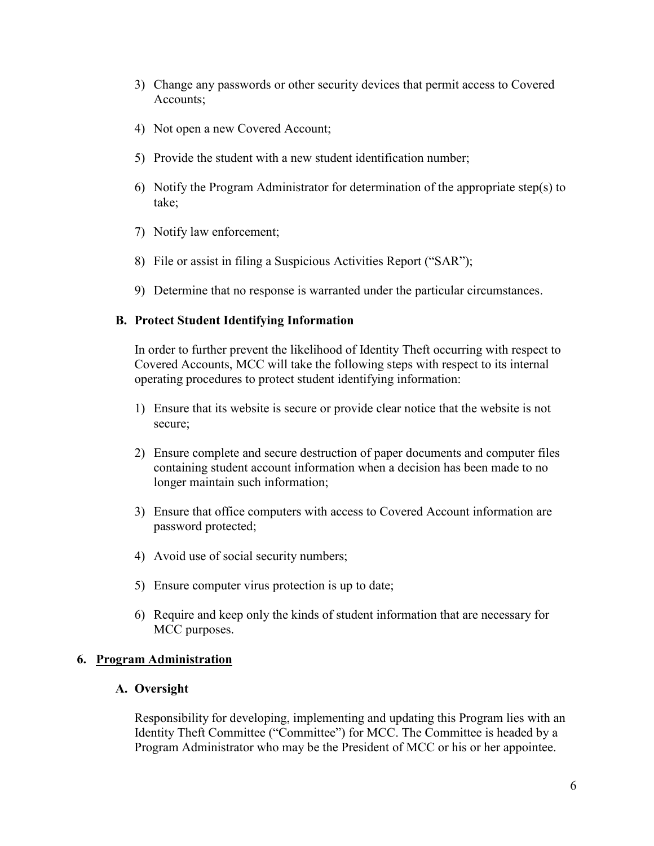- 3) Change any passwords or other security devices that permit access to Covered Accounts;
- 4) Not open a new Covered Account;
- 5) Provide the student with a new student identification number;
- 6) Notify the Program Administrator for determination of the appropriate step(s) to take;
- 7) Notify law enforcement;
- 8) File or assist in filing a Suspicious Activities Report ("SAR");
- 9) Determine that no response is warranted under the particular circumstances.

#### **B. Protect Student Identifying Information**

In order to further prevent the likelihood of Identity Theft occurring with respect to Covered Accounts, MCC will take the following steps with respect to its internal operating procedures to protect student identifying information:

- 1) Ensure that its website is secure or provide clear notice that the website is not secure;
- 2) Ensure complete and secure destruction of paper documents and computer files containing student account information when a decision has been made to no longer maintain such information;
- 3) Ensure that office computers with access to Covered Account information are password protected;
- 4) Avoid use of social security numbers;
- 5) Ensure computer virus protection is up to date;
- 6) Require and keep only the kinds of student information that are necessary for MCC purposes.

### **6. Program Administration**

#### **A. Oversight**

Responsibility for developing, implementing and updating this Program lies with an Identity Theft Committee ("Committee") for MCC. The Committee is headed by a Program Administrator who may be the President of MCC or his or her appointee.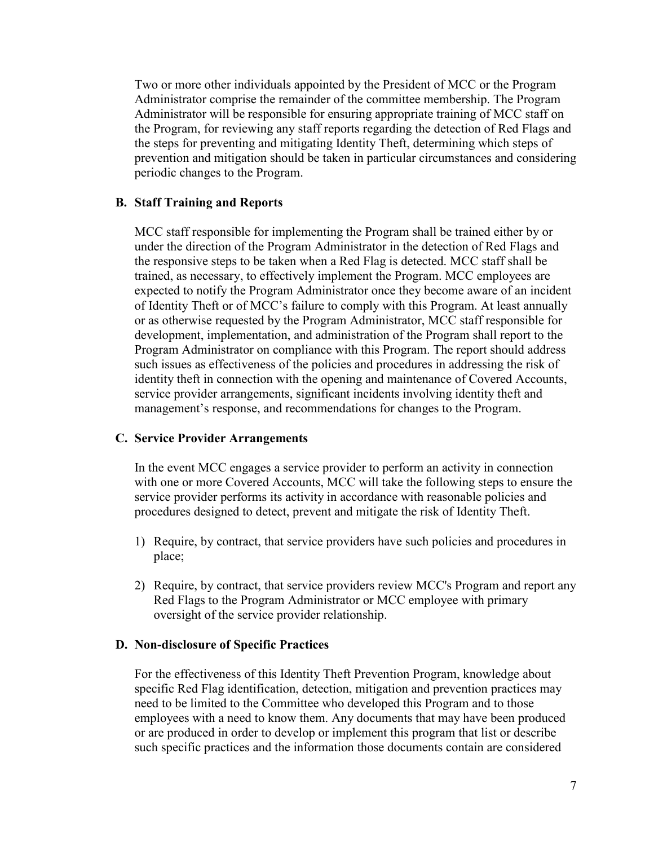Two or more other individuals appointed by the President of MCC or the Program Administrator comprise the remainder of the committee membership. The Program Administrator will be responsible for ensuring appropriate training of MCC staff on the Program, for reviewing any staff reports regarding the detection of Red Flags and the steps for preventing and mitigating Identity Theft, determining which steps of prevention and mitigation should be taken in particular circumstances and considering periodic changes to the Program.

#### **B. Staff Training and Reports**

MCC staff responsible for implementing the Program shall be trained either by or under the direction of the Program Administrator in the detection of Red Flags and the responsive steps to be taken when a Red Flag is detected. MCC staff shall be trained, as necessary, to effectively implement the Program. MCC employees are expected to notify the Program Administrator once they become aware of an incident of Identity Theft or of MCC's failure to comply with this Program. At least annually or as otherwise requested by the Program Administrator, MCC staff responsible for development, implementation, and administration of the Program shall report to the Program Administrator on compliance with this Program. The report should address such issues as effectiveness of the policies and procedures in addressing the risk of identity theft in connection with the opening and maintenance of Covered Accounts, service provider arrangements, significant incidents involving identity theft and management's response, and recommendations for changes to the Program.

#### **C. Service Provider Arrangements**

In the event MCC engages a service provider to perform an activity in connection with one or more Covered Accounts, MCC will take the following steps to ensure the service provider performs its activity in accordance with reasonable policies and procedures designed to detect, prevent and mitigate the risk of Identity Theft.

- 1) Require, by contract, that service providers have such policies and procedures in place;
- 2) Require, by contract, that service providers review MCC's Program and report any Red Flags to the Program Administrator or MCC employee with primary oversight of the service provider relationship.

#### **D. Non-disclosure of Specific Practices**

For the effectiveness of this Identity Theft Prevention Program, knowledge about specific Red Flag identification, detection, mitigation and prevention practices may need to be limited to the Committee who developed this Program and to those employees with a need to know them. Any documents that may have been produced or are produced in order to develop or implement this program that list or describe such specific practices and the information those documents contain are considered